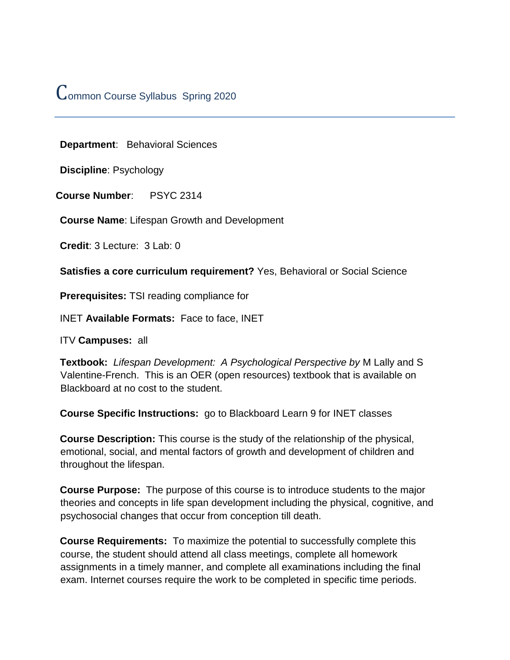# Common Course Syllabus Spring 2020

**Department**: Behavioral Sciences

**Discipline**: Psychology

**Course Number**: PSYC 2314

**Course Name**: Lifespan Growth and Development

**Credit**: 3 Lecture: 3 Lab: 0

**Satisfies a core curriculum requirement?** Yes, Behavioral or Social Science

**Prerequisites:** TSI reading compliance for

INET **Available Formats:** Face to face, INET

ITV **Campuses:** all

**Textbook:** *Lifespan Development: A Psychological Perspective by* M Lally and S Valentine-French. This is an OER (open resources) textbook that is available on Blackboard at no cost to the student.

**Course Specific Instructions:** go to Blackboard Learn 9 for INET classes

**Course Description:** This course is the study of the relationship of the physical, emotional, social, and mental factors of growth and development of children and throughout the lifespan.

**Course Purpose:** The purpose of this course is to introduce students to the major theories and concepts in life span development including the physical, cognitive, and psychosocial changes that occur from conception till death.

**Course Requirements:** To maximize the potential to successfully complete this course, the student should attend all class meetings, complete all homework assignments in a timely manner, and complete all examinations including the final exam. Internet courses require the work to be completed in specific time periods.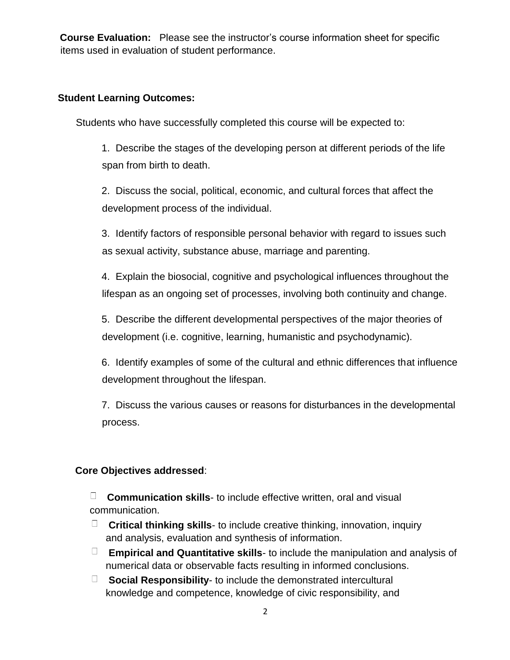**Course Evaluation:** Please see the instructor's course information sheet for specific items used in evaluation of student performance.

#### **Student Learning Outcomes:**

Students who have successfully completed this course will be expected to:

1. Describe the stages of the developing person at different periods of the life span from birth to death.

2. Discuss the social, political, economic, and cultural forces that affect the development process of the individual.

3. Identify factors of responsible personal behavior with regard to issues such as sexual activity, substance abuse, marriage and parenting.

4. Explain the biosocial, cognitive and psychological influences throughout the lifespan as an ongoing set of processes, involving both continuity and change.

5. Describe the different developmental perspectives of the major theories of development (i.e. cognitive, learning, humanistic and psychodynamic).

6. Identify examples of some of the cultural and ethnic differences that influence development throughout the lifespan.

7. Discuss the various causes or reasons for disturbances in the developmental process.

### **Core Objectives addressed**:

**Communication skills**- to include effective written, oral and visual communication.

- **Critical thinking skills** to include creative thinking, innovation, inquiry and analysis, evaluation and synthesis of information.
- **Empirical and Quantitative skills** to include the manipulation and analysis of numerical data or observable facts resulting in informed conclusions.
- **Social Responsibility** to include the demonstrated intercultural knowledge and competence, knowledge of civic responsibility, and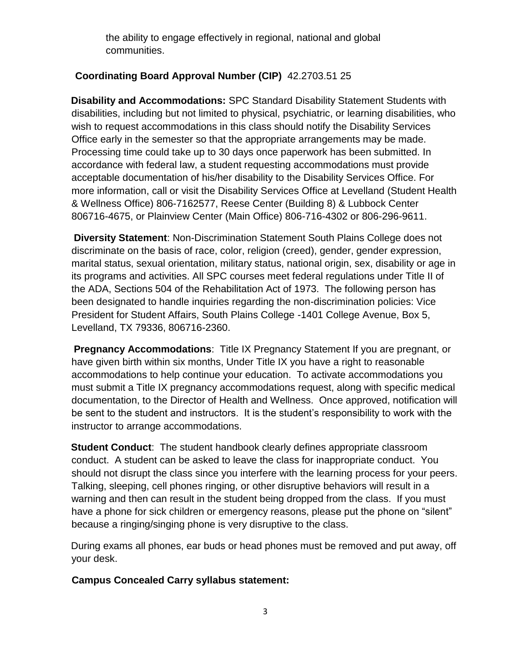the ability to engage effectively in regional, national and global communities.

## **Coordinating Board Approval Number (CIP)** 42.2703.51 25

**Disability and Accommodations:** SPC Standard Disability Statement Students with disabilities, including but not limited to physical, psychiatric, or learning disabilities, who wish to request accommodations in this class should notify the Disability Services Office early in the semester so that the appropriate arrangements may be made. Processing time could take up to 30 days once paperwork has been submitted. In accordance with federal law, a student requesting accommodations must provide acceptable documentation of his/her disability to the Disability Services Office. For more information, call or visit the Disability Services Office at Levelland (Student Health & Wellness Office) 806-7162577, Reese Center (Building 8) & Lubbock Center 806716-4675, or Plainview Center (Main Office) 806-716-4302 or 806-296-9611.

**Diversity Statement**: Non-Discrimination Statement South Plains College does not discriminate on the basis of race, color, religion (creed), gender, gender expression, marital status, sexual orientation, military status, national origin, sex, disability or age in its programs and activities. All SPC courses meet federal regulations under Title II of the ADA, Sections 504 of the Rehabilitation Act of 1973. The following person has been designated to handle inquiries regarding the non-discrimination policies: Vice President for Student Affairs, South Plains College -1401 College Avenue, Box 5, Levelland, TX 79336, 806716-2360.

**Pregnancy Accommodations:** Title IX Pregnancy Statement If you are pregnant, or have given birth within six months, Under Title IX you have a right to reasonable accommodations to help continue your education. To activate accommodations you must submit a Title IX pregnancy accommodations request, along with specific medical documentation, to the Director of Health and Wellness. Once approved, notification will be sent to the student and instructors. It is the student's responsibility to work with the instructor to arrange accommodations.

**Student Conduct**: The student handbook clearly defines appropriate classroom conduct. A student can be asked to leave the class for inappropriate conduct. You should not disrupt the class since you interfere with the learning process for your peers. Talking, sleeping, cell phones ringing, or other disruptive behaviors will result in a warning and then can result in the student being dropped from the class. If you must have a phone for sick children or emergency reasons, please put the phone on "silent" because a ringing/singing phone is very disruptive to the class.

During exams all phones, ear buds or head phones must be removed and put away, off your desk.

#### **Campus Concealed Carry syllabus statement:**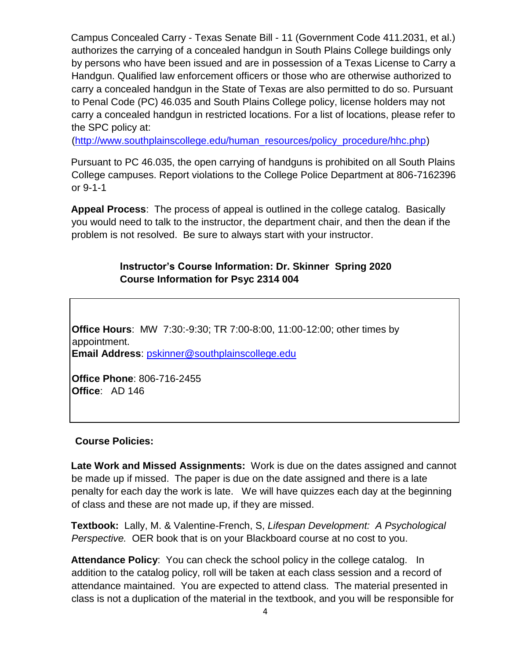Campus Concealed Carry - Texas Senate Bill - 11 (Government Code 411.2031, et al.) authorizes the carrying of a concealed handgun in South Plains College buildings only by persons who have been issued and are in possession of a Texas License to Carry a Handgun. Qualified law enforcement officers or those who are otherwise authorized to carry a concealed handgun in the State of Texas are also permitted to do so. Pursuant to Penal Code (PC) 46.035 and South Plains College policy, license holders may not carry a concealed handgun in restricted locations. For a list of locations, please refer to the SPC policy at:

[\(http://www.southplainscollege.edu/human\\_resources/policy\\_procedure/hhc.php\)](http://www.southplainscollege.edu/human_resources/policy_procedure/hhc.php)

Pursuant to PC 46.035, the open carrying of handguns is prohibited on all South Plains College campuses. Report violations to the College Police Department at 806-7162396 or 9-1-1

**Appeal Process**: The process of appeal is outlined in the college catalog. Basically you would need to talk to the instructor, the department chair, and then the dean if the problem is not resolved. Be sure to always start with your instructor.

## **Instructor's Course Information: Dr. Skinner Spring 2020 Course Information for Psyc 2314 004**

**Office Hours**: MW 7:30:-9:30; TR 7:00-8:00, 11:00-12:00; other times by appointment. **Email Address**: pskinner@southplainscollege.edu

**Office Phone**: 806-716-2455 **Office**: AD 146

### **Course Policies:**

**Late Work and Missed Assignments:** Work is due on the dates assigned and cannot be made up if missed. The paper is due on the date assigned and there is a late penalty for each day the work is late. We will have quizzes each day at the beginning of class and these are not made up, if they are missed.

**Textbook:** Lally, M. & Valentine-French, S, *Lifespan Development: A Psychological Perspective.* OER book that is on your Blackboard course at no cost to you.

**Attendance Policy**: You can check the school policy in the college catalog. In addition to the catalog policy, roll will be taken at each class session and a record of attendance maintained. You are expected to attend class. The material presented in class is not a duplication of the material in the textbook, and you will be responsible for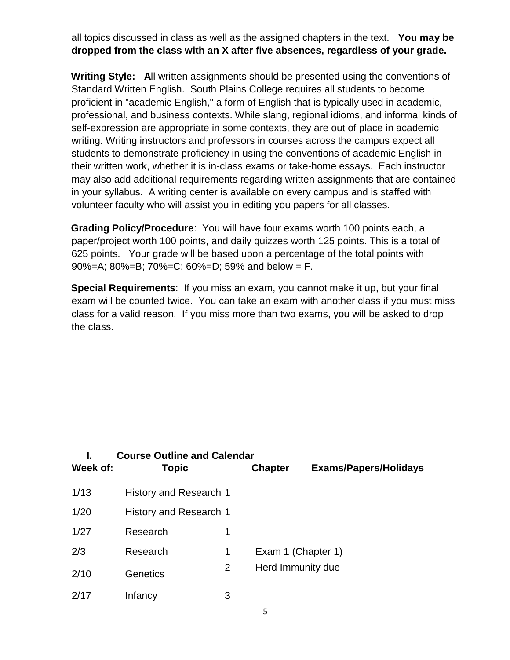all topics discussed in class as well as the assigned chapters in the text. **You may be dropped from the class with an X after five absences, regardless of your grade.**

**Writing Style: A**ll written assignments should be presented using the conventions of Standard Written English. South Plains College requires all students to become proficient in "academic English," a form of English that is typically used in academic, professional, and business contexts. While slang, regional idioms, and informal kinds of self-expression are appropriate in some contexts, they are out of place in academic writing. Writing instructors and professors in courses across the campus expect all students to demonstrate proficiency in using the conventions of academic English in their written work, whether it is in-class exams or take-home essays. Each instructor may also add additional requirements regarding written assignments that are contained in your syllabus. A writing center is available on every campus and is staffed with volunteer faculty who will assist you in editing you papers for all classes.

**Grading Policy/Procedure**: You will have four exams worth 100 points each, a paper/project worth 100 points, and daily quizzes worth 125 points. This is a total of 625 points. Your grade will be based upon a percentage of the total points with 90%=A; 80%=B; 70%=C; 60%=D; 59% and below = F.

**Special Requirements**: If you miss an exam, you cannot make it up, but your final exam will be counted twice. You can take an exam with another class if you must miss class for a valid reason. If you miss more than two exams, you will be asked to drop the class.

|          | <b>Course Outline and Calendar</b> |   |                    |                              |  |  |  |
|----------|------------------------------------|---|--------------------|------------------------------|--|--|--|
| Week of: | <b>Topic</b>                       |   | <b>Chapter</b>     | <b>Exams/Papers/Holidays</b> |  |  |  |
| 1/13     | History and Research 1             |   |                    |                              |  |  |  |
| 1/20     | History and Research 1             |   |                    |                              |  |  |  |
| 1/27     | Research                           | 1 |                    |                              |  |  |  |
| 2/3      | Research                           | 1 | Exam 1 (Chapter 1) |                              |  |  |  |
| 2/10     | Genetics                           | 2 | Herd Immunity due  |                              |  |  |  |
| 2/17     | Infancy                            | 3 |                    |                              |  |  |  |